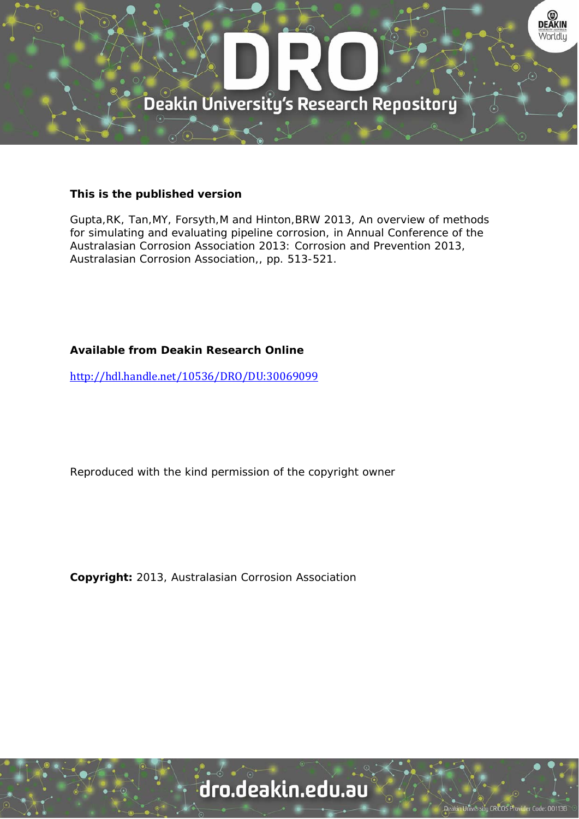

### **This is the published version**

Gupta,RK, Tan,MY, Forsyth,M and Hinton,BRW 2013, An overview of methods for simulating and evaluating pipeline corrosion, in Annual Conference of the Australasian Corrosion Association 2013: Corrosion and Prevention 2013, Australasian Corrosion Association,, pp. 513-521.

## **Available from Deakin Research Online**

http://hdl.handle.net/10536/DRO/DU:30069099

Reproduced with the kind permission of the copyright owner

**Copyright:** 2013, Australasian Corrosion Association

# dro.deakin.edu.au

ity CRICOS Pro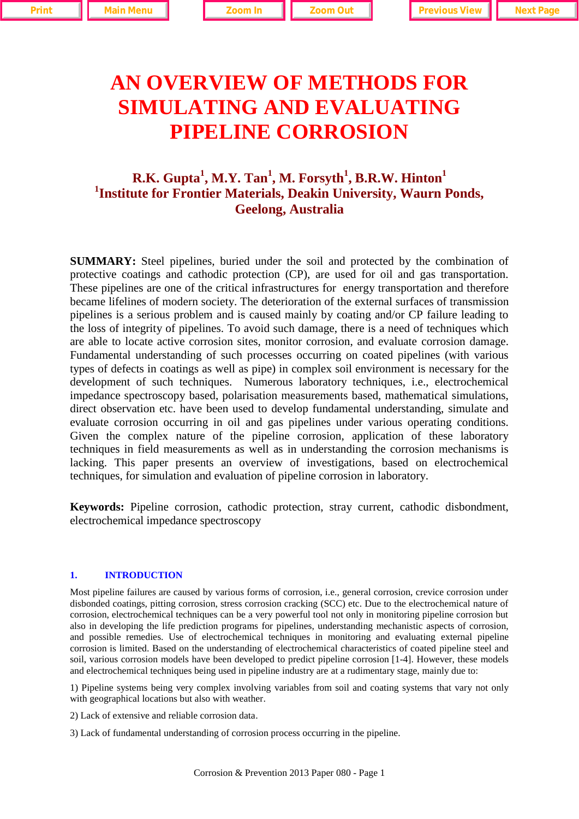# **AN OVERVIEW OF METHODS FOR SIMULATING AND EVALUATING PIPELINE CORROSION**

# **R.K. Gupta<sup>1</sup> , M.Y. Tan<sup>1</sup> , M. Forsyth<sup>1</sup> , B.R.W. Hinton<sup>1</sup> 1 Institute for Frontier Materials, Deakin University, Waurn Ponds, Geelong, Australia**

**SUMMARY:** Steel pipelines, buried under the soil and protected by the combination of protective coatings and cathodic protection (CP), are used for oil and gas transportation. These pipelines are one of the critical infrastructures for energy transportation and therefore became lifelines of modern society. The deterioration of the external surfaces of transmission pipelines is a serious problem and is caused mainly by coating and/or CP failure leading to the loss of integrity of pipelines. To avoid such damage, there is a need of techniques which are able to locate active corrosion sites, monitor corrosion, and evaluate corrosion damage. Fundamental understanding of such processes occurring on coated pipelines (with various types of defects in coatings as well as pipe) in complex soil environment is necessary for the development of such techniques. Numerous laboratory techniques, i.e., electrochemical impedance spectroscopy based, polarisation measurements based, mathematical simulations, direct observation etc. have been used to develop fundamental understanding, simulate and evaluate corrosion occurring in oil and gas pipelines under various operating conditions. Given the complex nature of the pipeline corrosion, application of these laboratory techniques in field measurements as well as in understanding the corrosion mechanisms is lacking. This paper presents an overview of investigations, based on electrochemical techniques, for simulation and evaluation of pipeline corrosion in laboratory.

**Keywords:** Pipeline corrosion, cathodic protection, stray current, cathodic disbondment, electrochemical impedance spectroscopy

#### **1. INTRODUCTION**

Most pipeline failures are caused by various forms of corrosion, i.e., general corrosion, crevice corrosion under disbonded coatings, pitting corrosion, stress corrosion cracking (SCC) etc. Due to the electrochemical nature of corrosion, electrochemical techniques can be a very powerful tool not only in monitoring pipeline corrosion but also in developing the life prediction programs for pipelines, understanding mechanistic aspects of corrosion, and possible remedies. Use of electrochemical techniques in monitoring and evaluating external pipeline corrosion is limited. Based on the understanding of electrochemical characteristics of coated pipeline steel and soil, various corrosion models have been developed to predict pipeline corrosion [1-4]. However, these models and electrochemical techniques being used in pipeline industry are at a rudimentary stage, mainly due to:

1) Pipeline systems being very complex involving variables from soil and coating systems that vary not only with geographical locations but also with weather.

2) Lack of extensive and reliable corrosion data.

3) Lack of fundamental understanding of corrosion process occurring in the pipeline.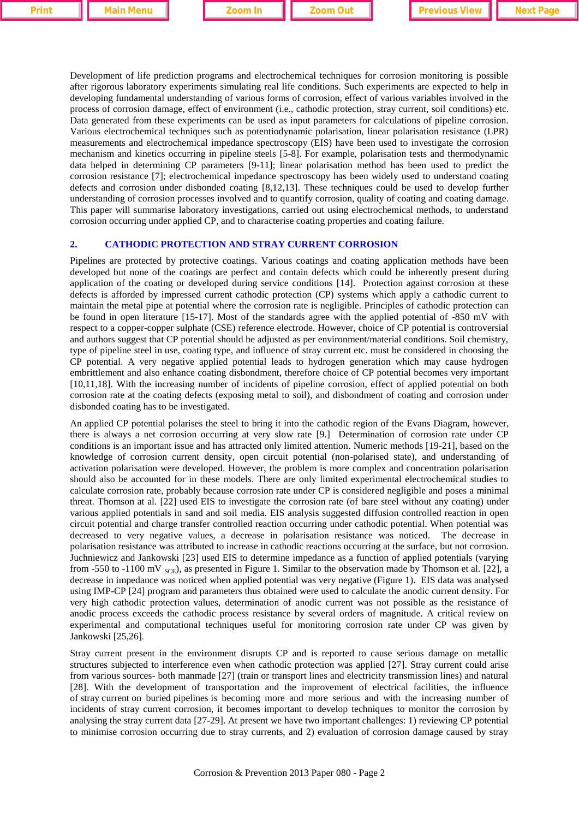Development of life prediction programs and electrochemical techniques for corrosion monitoring is possible after rigorous laboratory experiments simulating real life conditions. Such experiments are expected to help in developing fundamental understanding of various forms of corrosion, effect of various variables involved in the process of corrosion damage, effect of environment (i.e., cathodic protection, stray current, soil conditions) etc. Data generated from these experiments can be used as input parameters for calculations of pipeline corrosion. Various electrochemical techniques such as potentiodynamic polarisation, linear polarisation resistance (LPR) measurements and electrochemical impedance spectroscopy (EIS) have been used to investigate the corrosion mechanism and kinetics occurring in pipeline steels [5-8]. For example, polarisation tests and thermodynamic data helped in determining CP parameters [9-11]; linear polarisation method has been used to predict the corrosion resistance [7]; electrochemical impedance spectroscopy has been widely used to understand coating defects and corrosion under disbonded coating [8,12,13]. These techniques could be used to develop further understanding of corrosion processes involved and to quantify corrosion, quality of coating and coating damage. This paper will summarise laboratory investigations, carried out using electrochemical methods, to understand corrosion occurring under applied CP, and to characterise coating properties and coating failure.

#### **2. CATHODIC PROTECTION AND STRAY CURRENT CORROSION**

Pipelines are protected by protective coatings. Various coatings and coating application methods have been developed but none of the coatings are perfect and contain defects which could be inherently present during application of the coating or developed during service conditions [14]. Protection against corrosion at these defects is afforded by impressed current cathodic protection (CP) systems which apply a cathodic current to maintain the metal pipe at potential where the corrosion rate is negligible. Principles of cathodic protection can be found in open literature [15-17]. Most of the standards agree with the applied potential of -850 mV with respect to a copper-copper sulphate (CSE) reference electrode. However, choice of CP potential is controversial and authors suggest that CP potential should be adjusted as per environment/material conditions. Soil chemistry, type of pipeline steel in use, coating type, and influence of stray current etc. must be considered in choosing the CP potential. A very negative applied potential leads to hydrogen generation which may cause hydrogen embrittlement and also enhance coating disbondment, therefore choice of CP potential becomes very important [10,11,18]. With the increasing number of incidents of pipeline corrosion, effect of applied potential on both corrosion rate at the coating defects (exposing metal to soil), and disbondment of coating and corrosion under disbonded coating has to be investigated.

An applied CP potential polarises the steel to bring it into the cathodic region of the Evans Diagram, however, there is always a net corrosion occurring at very slow rate [9.] Determination of corrosion rate under CP conditions is an important issue and has attracted only limited attention. Numeric methods [19-21], based on the knowledge of corrosion current density, open circuit potential (non-polarised state), and understanding of activation polarisation were developed. However, the problem is more complex and concentration polarisation should also be accounted for in these models. There are only limited experimental electrochemical studies to calculate corrosion rate, probably because corrosion rate under CP is considered negligible and poses a minimal threat. Thomson at al. [22] used EIS to investigate the corrosion rate (of bare steel without any coating) under various applied potentials in sand and soil media. EIS analysis suggested diffusion controlled reaction in open circuit potential and charge transfer controlled reaction occurring under cathodic potential. When potential was decreased to very negative values, a decrease in polarisation resistance was noticed. The decrease in polarisation resistance was attributed to increase in cathodic reactions occurring at the surface, but not corrosion. Juchniewicz and Jankowski [23] used EIS to determine impedance as a function of applied potentials (varying from -550 to -1100 mV  $_{SCE}$ ), as presented in Figure 1. Similar to the observation made by Thomson et al. [22], a decrease in impedance was noticed when applied potential was very negative (Figure 1). EIS data was analysed using IMP-CP [24] program and parameters thus obtained were used to calculate the anodic current density. For very high cathodic protection values, determination of anodic current was not possible as the resistance of anodic process exceeds the cathodic process resistance by several orders of magnitude. A critical review on experimental and computational techniques useful for monitoring corrosion rate under CP was given by Jankowski [25,26].

Stray current present in the environment disrupts CP and is reported to cause serious damage on metallic structures subjected to interference even when cathodic protection was applied [27]. Stray current could arise from various sources- both manmade [27] (train or transport lines and electricity transmission lines) and natural [28]. With the development of transportation and the improvement of electrical facilities, the influence of stray current on buried pipelines is becoming more and more serious and with the increasing number of incidents of stray current corrosion, it becomes important to develop techniques to monitor the corrosion by analysing the stray current data [27-29]. At present we have two important challenges: 1) reviewing CP potential to minimise corrosion occurring due to stray currents, and 2) evaluation of corrosion damage caused by stray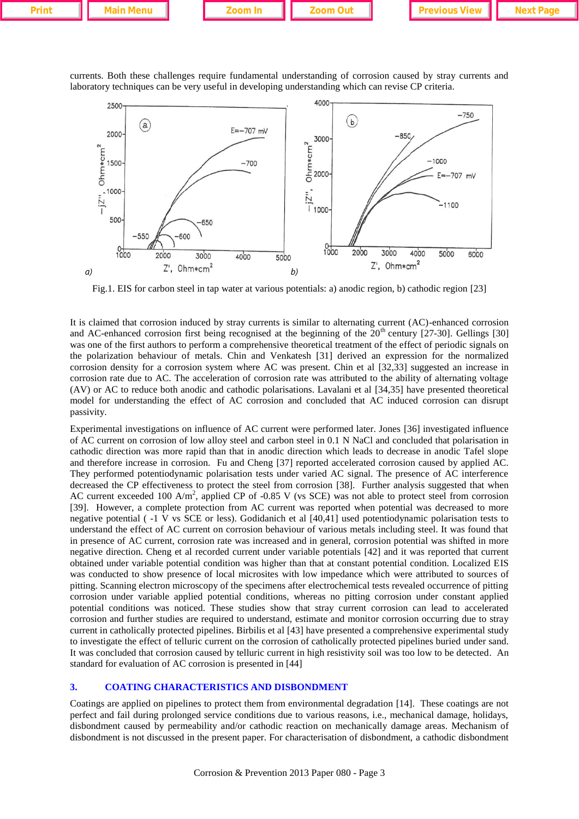| Print. |  | $\sim$ |  |  |  |
|--------|--|--------|--|--|--|
|        |  |        |  |  |  |

currents. Both these challenges require fundamental understanding of corrosion caused by stray currents and laboratory techniques can be very useful in developing understanding which can revise CP criteria.



Fig.1. EIS for carbon steel in tap water at various potentials: a) anodic region, b) cathodic region [23]

It is claimed that corrosion induced by stray currents is similar to alternating current (AC)-enhanced corrosion and AC-enhanced corrosion first being recognised at the beginning of the  $20<sup>th</sup>$  century [27-30]. Gellings [30] was one of the first authors to perform a comprehensive theoretical treatment of the effect of periodic signals on the polarization behaviour of metals. Chin and Venkatesh [31] derived an expression for the normalized corrosion density for a corrosion system where AC was present. Chin et al [32,33] suggested an increase in corrosion rate due to AC. The acceleration of corrosion rate was attributed to the ability of alternating voltage (AV) or AC to reduce both anodic and cathodic polarisations. Lavalani et al [34,35] have presented theoretical model for understanding the effect of AC corrosion and concluded that AC induced corrosion can disrupt passivity.

Experimental investigations on influence of AC current were performed later. Jones [36] investigated influence of AC current on corrosion of low alloy steel and carbon steel in 0.1 N NaCl and concluded that polarisation in cathodic direction was more rapid than that in anodic direction which leads to decrease in anodic Tafel slope and therefore increase in corrosion. Fu and Cheng [37] reported accelerated corrosion caused by applied AC. They performed potentiodynamic polarisation tests under varied AC signal. The presence of AC interference decreased the CP effectiveness to protect the steel from corrosion [38]. Further analysis suggested that when AC current exceeded 100 A/m<sup>2</sup>, applied CP of -0.85 V (vs SCE) was not able to protect steel from corrosion [39]. However, a complete protection from AC current was reported when potential was decreased to more negative potential ( -1 V vs SCE or less). Godidanich et al [40,41] used potentiodynamic polarisation tests to understand the effect of AC current on corrosion behaviour of various metals including steel. It was found that in presence of AC current, corrosion rate was increased and in general, corrosion potential was shifted in more negative direction. Cheng et al recorded current under variable potentials [42] and it was reported that current obtained under variable potential condition was higher than that at constant potential condition. Localized EIS was conducted to show presence of local microsites with low impedance which were attributed to sources of pitting. Scanning electron microscopy of the specimens after electrochemical tests revealed occurrence of pitting corrosion under variable applied potential conditions, whereas no pitting corrosion under constant applied potential conditions was noticed. These studies show that stray current corrosion can lead to accelerated corrosion and further studies are required to understand, estimate and monitor corrosion occurring due to stray current in catholically protected pipelines. Birbilis et al [43] have presented a comprehensive experimental study to investigate the effect of telluric current on the corrosion of catholically protected pipelines buried under sand. It was concluded that corrosion caused by telluric current in high resistivity soil was too low to be detected. An standard for evaluation of AC corrosion is presented in [44]

#### **3. COATING CHARACTERISTICS AND DISBONDMENT**

Coatings are applied on pipelines to protect them from environmental degradation [14]. These coatings are not perfect and fail during prolonged service conditions due to various reasons, i.e., mechanical damage, holidays, disbondment caused by permeability and/or cathodic reaction on mechanically damage areas. Mechanism of disbondment is not discussed in the present paper. For characterisation of disbondment, a cathodic disbondment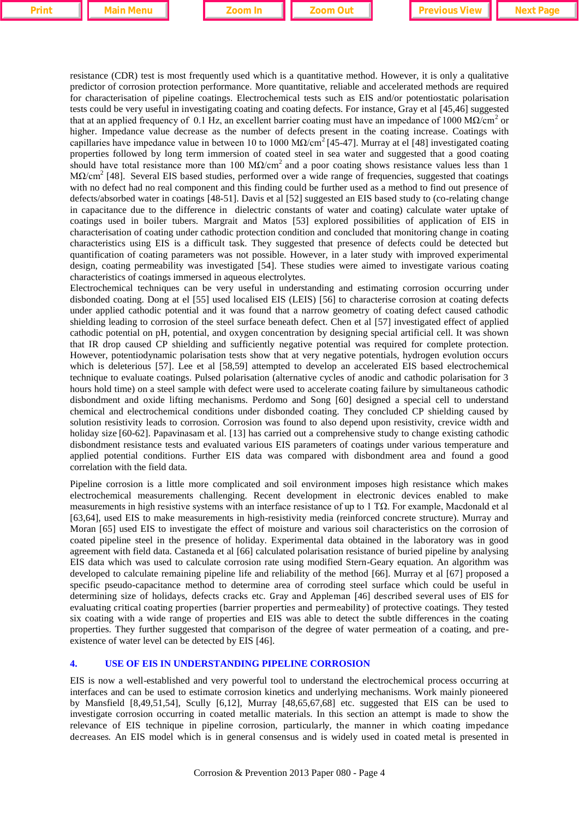resistance (CDR) test is most frequently used which is a quantitative method. However, it is only a qualitative predictor of corrosion protection performance. More quantitative, reliable and accelerated methods are required for characterisation of pipeline coatings. Electrochemical tests such as EIS and/or potentiostatic polarisation tests could be very useful in investigating coating and coating defects. For instance, Gray et al [45,46] suggested that at an applied frequency of 0.1 Hz, an excellent barrier coating must have an impedance of 1000 MΩ/cm<sup>2</sup> or higher. Impedance value decrease as the number of defects present in the coating increase. Coatings with capillaries have impedance value in between 10 to 1000 M $\Omega$ /cm<sup>2</sup> [45-47]. Murray at el [48] investigated coating properties followed by long term immersion of coated steel in sea water and suggested that a good coating should have total resistance more than 100 M $\Omega$ /cm<sup>2</sup> and a poor coating shows resistance values less than 1 MΩ/cm<sup>2</sup> [48]. Several EIS based studies, performed over a wide range of frequencies, suggested that coatings with no defect had no real component and this finding could be further used as a method to find out presence of defects/absorbed water in coatings [48-51]. Davis et al [52] suggested an EIS based study to (co-relating change in capacitance due to the difference in dielectric constants of water and coating) calculate water uptake of coatings used in boiler tubers. Margrait and Matos [53] explored possibilities of application of EIS in characterisation of coating under cathodic protection condition and concluded that monitoring change in coating characteristics using EIS is a difficult task. They suggested that presence of defects could be detected but quantification of coating parameters was not possible. However, in a later study with improved experimental design, coating permeability was investigated [54]. These studies were aimed to investigate various coating characteristics of coatings immersed in aqueous electrolytes.

Electrochemical techniques can be very useful in understanding and estimating corrosion occurring under disbonded coating. Dong at el [55] used localised EIS (LEIS) [56] to characterise corrosion at coating defects under applied cathodic potential and it was found that a narrow geometry of coating defect caused cathodic shielding leading to corrosion of the steel surface beneath defect. Chen et al [57] investigated effect of applied cathodic potential on pH, potential, and oxygen concentration by designing special artificial cell. It was shown that IR drop caused CP shielding and sufficiently negative potential was required for complete protection. However, potentiodynamic polarisation tests show that at very negative potentials, hydrogen evolution occurs which is deleterious [57]. Lee et al [58,59] attempted to develop an accelerated EIS based electrochemical technique to evaluate coatings. Pulsed polarisation (alternative cycles of anodic and cathodic polarisation for 3 hours hold time) on a steel sample with defect were used to accelerate coating failure by simultaneous cathodic disbondment and oxide lifting mechanisms. Perdomo and Song [60] designed a special cell to understand chemical and electrochemical conditions under disbonded coating. They concluded CP shielding caused by solution resistivity leads to corrosion. Corrosion was found to also depend upon resistivity, crevice width and holiday size [60-62]. Papavinasam et al. [13] has carried out a comprehensive study to change existing cathodic disbondment resistance tests and evaluated various EIS parameters of coatings under various temperature and applied potential conditions. Further EIS data was compared with disbondment area and found a good correlation with the field data.

Pipeline corrosion is a little more complicated and soil environment imposes high resistance which makes electrochemical measurements challenging. Recent development in electronic devices enabled to make measurements in high resistive systems with an interface resistance of up to 1 TΩ. For example, Macdonald et al [63,64], used EIS to make measurements in high-resistivity media (reinforced concrete structure). Murray and Moran [65] used EIS to investigate the effect of moisture and various soil characteristics on the corrosion of coated pipeline steel in the presence of holiday. Experimental data obtained in the laboratory was in good agreement with field data. Castaneda et al [66] calculated polarisation resistance of buried pipeline by analysing EIS data which was used to calculate corrosion rate using modified Stern-Geary equation. An algorithm was developed to calculate remaining pipeline life and reliability of the method [66]. Murray et al [67] proposed a specific pseudo-capacitance method to determine area of corroding steel surface which could be useful in determining size of holidays, defects cracks etc. Gray and Appleman [46] described several uses of EIS for evaluating critical coating properties (barrier properties and permeability) of protective coatings. They tested six coating with a wide range of properties and EIS was able to detect the subtle differences in the coating properties. They further suggested that comparison of the degree of water permeation of a coating, and preexistence of water level can be detected by EIS [46].

#### **4. USE OF EIS IN UNDERSTANDING PIPELINE CORROSION**

EIS is now a well-established and very powerful tool to understand the electrochemical process occurring at interfaces and can be used to estimate corrosion kinetics and underlying mechanisms. Work mainly pioneered by Mansfield [8,49,51,54], Scully [6,12], Murray [48,65,67,68] etc. suggested that EIS can be used to investigate corrosion occurring in coated metallic materials. In this section an attempt is made to show the relevance of EIS technique in pipeline corrosion, particularly, the manner in which coating impedance decreases. An EIS model which is in general consensus and is widely used in coated metal is presented in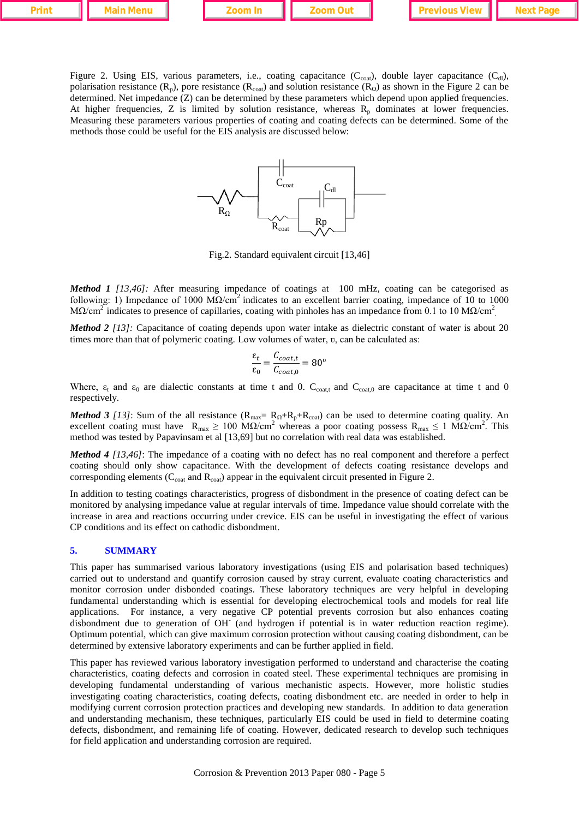|--|--|--|--|--|--|--|--|

Figure 2. Using EIS, various parameters, i.e., coating capacitance  $(C_{\text{coal}})$ , double layer capacitance  $(C_{\text{dl}})$ , polarisation resistance (R<sub>p</sub>), pore resistance (R<sub>coat</sub>) and solution resistance (R<sub>Ω</sub>) as shown in the Figure 2 can be determined. Net impedance (Z) can be determined by these parameters which depend upon applied frequencies. At higher frequencies, Z is limited by solution resistance, whereas  $R_p$  dominates at lower frequencies. Measuring these parameters various properties of coating and coating defects can be determined. Some of the methods those could be useful for the EIS analysis are discussed below: **Print Main Menu <b>Zoom In Zoom Out Previous View Next Page**<br> **Prince 2.** Using EIS, various parameters, i.e., coating capacitance  $(C_{\text{row}})$ , double layer capacitance  $(C_{\text{dl}})$ , polarisation resistance  $(R_p)$ , pore



Fig.2. Standard equivalent circuit [13,46]

*Method 1* [13,46]: After measuring impedance of coatings at 100 mHz, coating can be categorised as following: 1) Impedance of 1000 M $\Omega$ /cm<sup>2</sup> indicates to an excellent barrier coating, impedance of 10 to 1000 M $\Omega/cm^2$  indicates to presence of capillaries, coating with pinholes has an impedance from 0.1 to 10 M $\Omega/cm^2$ 

*Method 2 [13]:* Capacitance of coating depends upon water intake as dielectric constant of water is about 20 times more than that of polymeric coating. Low volumes of water, v, can be calculated as:

$$
\frac{\varepsilon_t}{\varepsilon_0} = \frac{C_{coat,t}}{C_{coat,0}} = 80^\circ
$$

Where,  $\varepsilon_1$  and  $\varepsilon_0$  are dialectic constants at time t and 0.  $C_{\text{coat},1}$  and  $C_{\text{coat},0}$  are capacitance at time t and 0 respectively.

*Method 3 [13]*: Sum of the all resistance  $(R_{max} = R_{\Omega} + R_{p} + R_{\text{cont}})$  can be used to determine coating quality. An excellent coating must have  $R_{\text{max}} \ge 100 \text{ M}\Omega/\text{cm}^2$  whereas a poor coating possess  $R_{\text{max}} \le 1 \text{ M}\Omega/\text{cm}^2$ . This method was tested by Papavinsam et al [13,69] but no correlation with real data was established.

*Method 4 [13,46]*: The impedance of a coating with no defect has no real component and therefore a perfect coating should only show capacitance. With the development of defects coating resistance develops and corresponding elements ( $C_{\text{cont}}$  and  $R_{\text{cont}}$ ) appear in the equivalent circuit presented in Figure 2.

In addition to testing coatings characteristics, progress of disbondment in the presence of coating defect can be monitored by analysing impedance value at regular intervals of time. Impedance value should correlate with the increase in area and reactions occurring under crevice. EIS can be useful in investigating the effect of various CP conditions and its effect on cathodic disbondment.

#### **5. SUMMARY**

This paper has summarised various laboratory investigations (using EIS and polarisation based techniques) carried out to understand and quantify corrosion caused by stray current, evaluate coating characteristics and monitor corrosion under disbonded coatings. These laboratory techniques are very helpful in developing fundamental understanding which is essential for developing electrochemical tools and models for real life applications. For instance, a very negative CP potential prevents corrosion but also enhances coating disbondment due to generation of OH<sup>-</sup> (and hydrogen if potential is in water reduction reaction regime). Optimum potential, which can give maximum corrosion protection without causing coating disbondment, can be determined by extensive laboratory experiments and can be further applied in field.

This paper has reviewed various laboratory investigation performed to understand and characterise the coating characteristics, coating defects and corrosion in coated steel. These experimental techniques are promising in developing fundamental understanding of various mechanistic aspects. However, more holistic studies investigating coating characteristics, coating defects, coating disbondment etc. are needed in order to help in modifying current corrosion protection practices and developing new standards. In addition to data generation and understanding mechanism, these techniques, particularly EIS could be used in field to determine coating defects, disbondment, and remaining life of coating. However, dedicated research to develop such techniques for field application and understanding corrosion are required.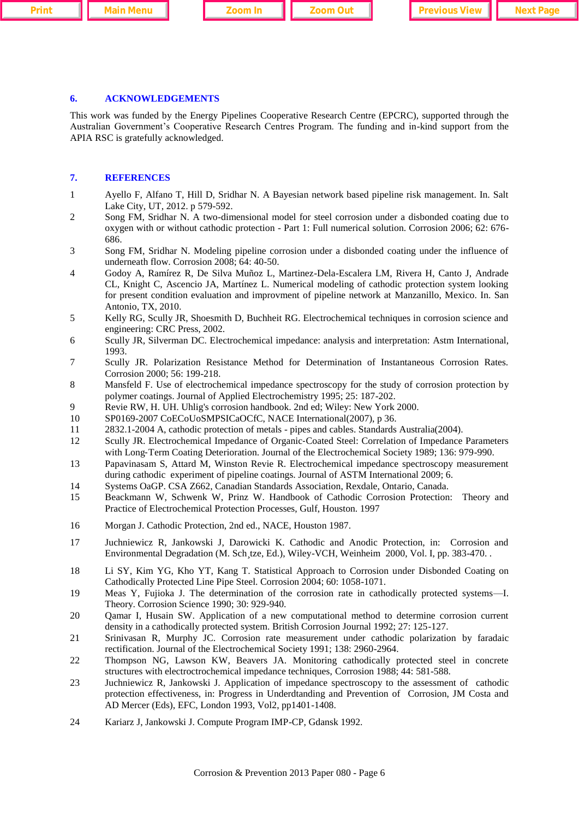**Printing Industry of Community II also and Development III Zoom Out<sub>ra</sub> in Previous View II Next Page** 

## **6. ACKNOWLEDGEMENTS**

This work was funded by the Energy Pipelines Cooperative Research Centre (EPCRC), supported through the Australian Government's Cooperative Research Centres Program. The funding and in-kind support from the APIA RSC is gratefully acknowledged.

#### **7. REFERENCES**

- 1 Ayello F, Alfano T, Hill D, Sridhar N. A Bayesian network based pipeline risk management. In. Salt Lake City, UT, 2012. p 579-592.
- 2 Song FM, Sridhar N. A two-dimensional model for steel corrosion under a disbonded coating due to oxygen with or without cathodic protection - Part 1: Full numerical solution. Corrosion 2006; 62: 676- 686.
- 3 Song FM, Sridhar N. Modeling pipeline corrosion under a disbonded coating under the influence of underneath flow. Corrosion 2008; 64: 40-50.
- 4 Godoy A, Ramírez R, De Silva Muñoz L, Martinez-Dela-Escalera LM, Rivera H, Canto J, Andrade CL, Knight C, Ascencio JA, Martínez L. Numerical modeling of cathodic protection system looking for present condition evaluation and improvment of pipeline network at Manzanillo, Mexico. In. San Antonio, TX, 2010.
- 5 Kelly RG, Scully JR, Shoesmith D, Buchheit RG. Electrochemical techniques in corrosion science and engineering: CRC Press, 2002.
- 6 Scully JR, Silverman DC. Electrochemical impedance: analysis and interpretation: Astm International, 1993.
- 7 Scully JR. Polarization Resistance Method for Determination of Instantaneous Corrosion Rates. Corrosion 2000; 56: 199-218.
- 8 Mansfeld F. Use of electrochemical impedance spectroscopy for the study of corrosion protection by polymer coatings. Journal of Applied Electrochemistry 1995; 25: 187-202.
- 9 Revie RW, H. UH. Uhlig's corrosion handbook. 2nd ed; Wiley: New York 2000.
- 10 SP0169-2007 CoECoUoSMPSICaOCfC, NACE International(2007), p 36.
- 11 2832.1-2004 A, cathodic protection of metals pipes and cables. Standards Australia(2004).
- 12 Scully JR. Electrochemical Impedance of Organic-Coated Steel: Correlation of Impedance Parameters with Long-Term Coating Deterioration. Journal of the Electrochemical Society 1989; 136: 979-990.
- 13 Papavinasam S, Attard M, Winston Revie R. Electrochemical impedance spectroscopy measurement during cathodic experiment of pipeline coatings. Journal of ASTM International 2009; 6.
- 14 Systems OaGP. CSA Z662, Canadian Standards Association, Rexdale, Ontario, Canada.
- 15 Beackmann W, Schwenk W, Prinz W. Handbook of Cathodic Corrosion Protection: Theory and Practice of Electrochemical Protection Processes, Gulf, Houston. 1997
- 16 Morgan J. Cathodic Protection, 2nd ed., NACE, Houston 1987.
- 17 Juchniewicz R, Jankowski J, Darowicki K. Cathodic and Anodic Protection, in: Corrosion and Environmental Degradation (M. Sch tze, Ed.), Wiley-VCH, Weinheim 2000, Vol. I, pp. 383-470. .
- 18 Li SY, Kim YG, Kho YT, Kang T. Statistical Approach to Corrosion under Disbonded Coating on Cathodically Protected Line Pipe Steel. Corrosion 2004; 60: 1058-1071.
- 19 Meas Y, Fujioka J. The determination of the corrosion rate in cathodically protected systems—I. Theory. Corrosion Science 1990; 30: 929-940.
- 20 Qamar I, Husain SW. Application of a new computational method to determine corrosion current density in a cathodically protected system. British Corrosion Journal 1992; 27: 125-127.
- 21 Srinivasan R, Murphy JC. Corrosion rate measurement under cathodic polarization by faradaic rectification. Journal of the Electrochemical Society 1991; 138: 2960-2964.
- 22 Thompson NG, Lawson KW, Beavers JA. Monitoring cathodically protected steel in concrete structures with electroctrochemical impedance techniques, Corrosion 1988; 44: 581-588.
- 23 Juchniewicz R, Jankowski J. Application of impedance spectroscopy to the assessment of cathodic protection effectiveness, in: Progress in Underdtanding and Prevention of Corrosion, JM Costa and AD Mercer (Eds), EFC, London 1993, Vol2, pp1401-1408.
- 24 Kariarz J, Jankowski J. Compute Program IMP-CP, Gdansk 1992.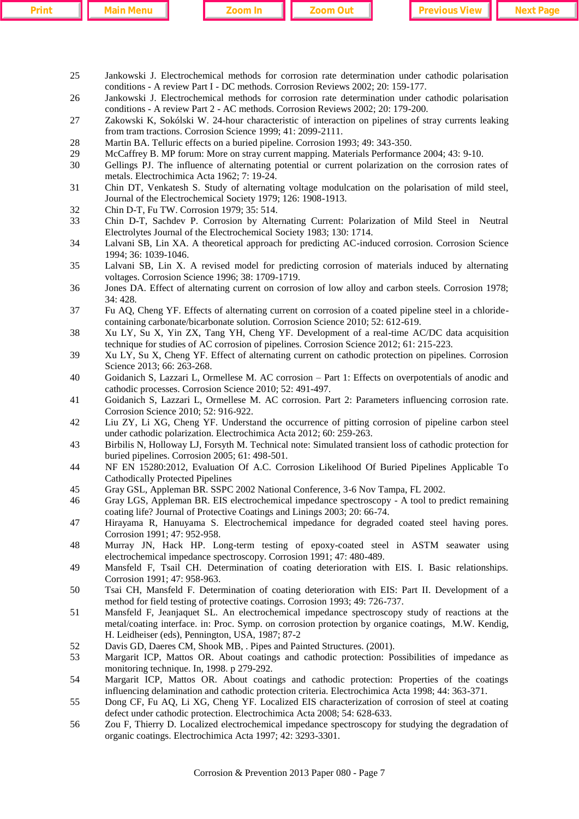|  | . |  |
|--|---|--|
|  |   |  |

- 25 Jankowski J. Electrochemical methods for corrosion rate determination under cathodic polarisation conditions - A review Part I - DC methods. Corrosion Reviews 2002; 20: 159-177.
- 26 Jankowski J. Electrochemical methods for corrosion rate determination under cathodic polarisation conditions - A review Part 2 - AC methods. Corrosion Reviews 2002; 20: 179-200.
- 27 Zakowski K, Sokólski W. 24-hour characteristic of interaction on pipelines of stray currents leaking from tram tractions. Corrosion Science 1999; 41: 2099-2111.
- 28 Martin BA. Telluric effects on a buried pipeline. Corrosion 1993; 49: 343-350.
- 29 McCaffrey B. MP forum: More on stray current mapping. Materials Performance 2004; 43: 9-10.
- 30 Gellings PJ. The influence of alternating potential or current polarization on the corrosion rates of metals. Electrochimica Acta 1962; 7: 19-24.
- 31 Chin DT, Venkatesh S. Study of alternating voltage modulcation on the polarisation of mild steel, Journal of the Electrochemical Society 1979; 126: 1908-1913.
- 32 Chin D-T, Fu TW. Corrosion 1979; 35: 514.
- 33 Chin D-T, Sachdev P. Corrosion by Alternating Current: Polarization of Mild Steel in Neutral Electrolytes Journal of the Electrochemical Society 1983; 130: 1714.
- 34 Lalvani SB, Lin XA. A theoretical approach for predicting AC-induced corrosion. Corrosion Science 1994; 36: 1039-1046.
- 35 Lalvani SB, Lin X. A revised model for predicting corrosion of materials induced by alternating voltages. Corrosion Science 1996; 38: 1709-1719.
- 36 Jones DA. Effect of alternating current on corrosion of low alloy and carbon steels. Corrosion 1978; 34: 428.
- 37 Fu AQ, Cheng YF. Effects of alternating current on corrosion of a coated pipeline steel in a chloridecontaining carbonate/bicarbonate solution. Corrosion Science 2010; 52: 612-619.
- 38 Xu LY, Su X, Yin ZX, Tang YH, Cheng YF. Development of a real-time AC/DC data acquisition technique for studies of AC corrosion of pipelines. Corrosion Science 2012; 61: 215-223.
- 39 Xu LY, Su X, Cheng YF. Effect of alternating current on cathodic protection on pipelines. Corrosion Science 2013; 66: 263-268.
- 40 Goidanich S, Lazzari L, Ormellese M. AC corrosion Part 1: Effects on overpotentials of anodic and cathodic processes. Corrosion Science 2010; 52: 491-497.
- 41 Goidanich S, Lazzari L, Ormellese M. AC corrosion. Part 2: Parameters influencing corrosion rate. Corrosion Science 2010; 52: 916-922.
- 42 Liu ZY, Li XG, Cheng YF. Understand the occurrence of pitting corrosion of pipeline carbon steel under cathodic polarization. Electrochimica Acta 2012; 60: 259-263.
- 43 Birbilis N, Holloway LJ, Forsyth M. Technical note: Simulated transient loss of cathodic protection for buried pipelines. Corrosion 2005; 61: 498-501.
- 44 NF EN 15280:2012, Evaluation Of A.C. Corrosion Likelihood Of Buried Pipelines Applicable To Cathodically Protected Pipelines
- 45 Gray GSL, Appleman BR. SSPC 2002 National Conference, 3-6 Nov Tampa, FL 2002.
- 46 Gray LGS, Appleman BR. EIS electrochemical impedance spectroscopy A tool to predict remaining coating life? Journal of Protective Coatings and Linings 2003; 20: 66-74.
- 47 Hirayama R, Hanuyama S. Electrochemical impedance for degraded coated steel having pores. Corrosion 1991; 47: 952-958.
- 48 Murray JN, Hack HP. Long-term testing of epoxy-coated steel in ASTM seawater using electrochemical impedance spectroscopy. Corrosion 1991; 47: 480-489.
- 49 Mansfeld F, Tsail CH. Determination of coating deterioration with EIS. I. Basic relationships. Corrosion 1991; 47: 958-963.
- 50 Tsai CH, Mansfeld F. Determination of coating deterioration with EIS: Part II. Development of a method for field testing of protective coatings. Corrosion 1993; 49: 726-737.
- 51 Mansfeld F, Jeanjaquet SL. An electrochemical impedance spectroscopy study of reactions at the metal/coating interface. in: Proc. Symp. on corrosion protection by organice coatings, M.W. Kendig, H. Leidheiser (eds), Pennington, USA, 1987; 87-2
- 52 Davis GD, Daeres CM, Shook MB, . Pipes and Painted Structures. (2001).
- 53 Margarit ICP, Mattos OR. About coatings and cathodic protection: Possibilities of impedance as monitoring technique. In, 1998. p 279-292.
- 54 Margarit ICP, Mattos OR. About coatings and cathodic protection: Properties of the coatings influencing delamination and cathodic protection criteria. Electrochimica Acta 1998; 44: 363-371.
- 55 Dong CF, Fu AQ, Li XG, Cheng YF. Localized EIS characterization of corrosion of steel at coating defect under cathodic protection. Electrochimica Acta 2008; 54: 628-633.
- 56 Zou F, Thierry D. Localized electrochemical impedance spectroscopy for studying the degradation of organic coatings. Electrochimica Acta 1997; 42: 3293-3301.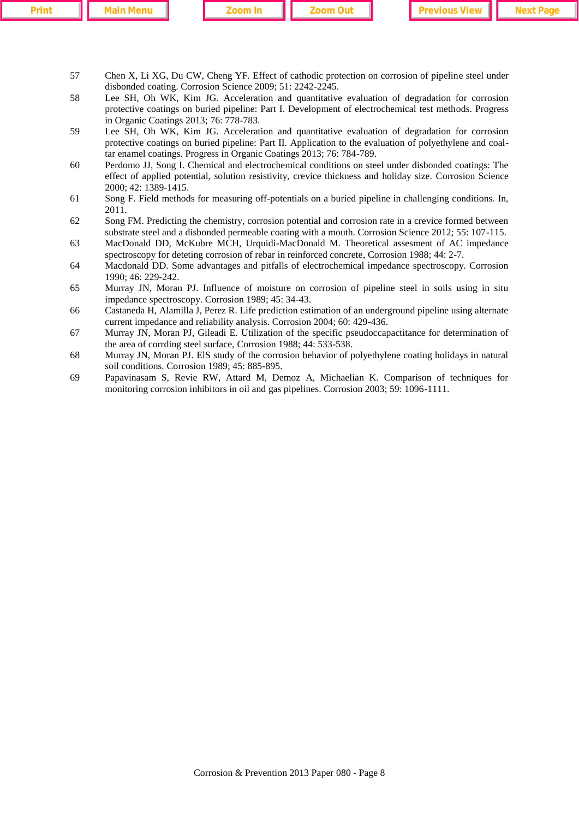| an a |  |  |
|------|--|--|

**Printing Linds Indianal International Interview Communism Interview Page Interventional Intervention Intervention Intervention Intervention Intervention Intervention Intervention Intervention Intervention Intervention Int** 

- 57 Chen X, Li XG, Du CW, Cheng YF. Effect of cathodic protection on corrosion of pipeline steel under disbonded coating. Corrosion Science 2009; 51: 2242-2245.
- 58 Lee SH, Oh WK, Kim JG. Acceleration and quantitative evaluation of degradation for corrosion protective coatings on buried pipeline: Part I. Development of electrochemical test methods. Progress in Organic Coatings 2013; 76: 778-783.
- 59 Lee SH, Oh WK, Kim JG. Acceleration and quantitative evaluation of degradation for corrosion protective coatings on buried pipeline: Part II. Application to the evaluation of polyethylene and coaltar enamel coatings. Progress in Organic Coatings 2013; 76: 784-789.
- 60 Perdomo JJ, Song I. Chemical and electrochemical conditions on steel under disbonded coatings: The effect of applied potential, solution resistivity, crevice thickness and holiday size. Corrosion Science 2000; 42: 1389-1415.
- 61 Song F. Field methods for measuring off-potentials on a buried pipeline in challenging conditions. In, 2011.
- 62 Song FM. Predicting the chemistry, corrosion potential and corrosion rate in a crevice formed between substrate steel and a disbonded permeable coating with a mouth. Corrosion Science 2012; 55: 107-115.
- 63 MacDonald DD, McKubre MCH, Urquidi-MacDonald M. Theoretical assesment of AC impedance spectroscopy for deteting corrosion of rebar in reinforced concrete, Corrosion 1988; 44: 2-7.
- 64 Macdonald DD. Some advantages and pitfalls of electrochemical impedance spectroscopy. Corrosion 1990; 46: 229-242.
- 65 Murray JN, Moran PJ. Influence of moisture on corrosion of pipeline steel in soils using in situ impedance spectroscopy. Corrosion 1989; 45: 34-43.
- 66 Castaneda H, Alamilla J, Perez R. Life prediction estimation of an underground pipeline using alternate current impedance and reliability analysis. Corrosion 2004; 60: 429-436.
- 67 Murray JN, Moran PJ, Gileadi E. Utilization of the specific pseudoccapactitance for determination of the area of corrding steel surface, Corrosion 1988; 44: 533-538.
- 68 Murray JN, Moran PJ. ElS study of the corrosion behavior of polyethylene coating holidays in natural soil conditions. Corrosion 1989; 45: 885-895.
- 69 Papavinasam S, Revie RW, Attard M, Demoz A, Michaelian K. Comparison of techniques for monitoring corrosion inhibitors in oil and gas pipelines. Corrosion 2003; 59: 1096-1111.